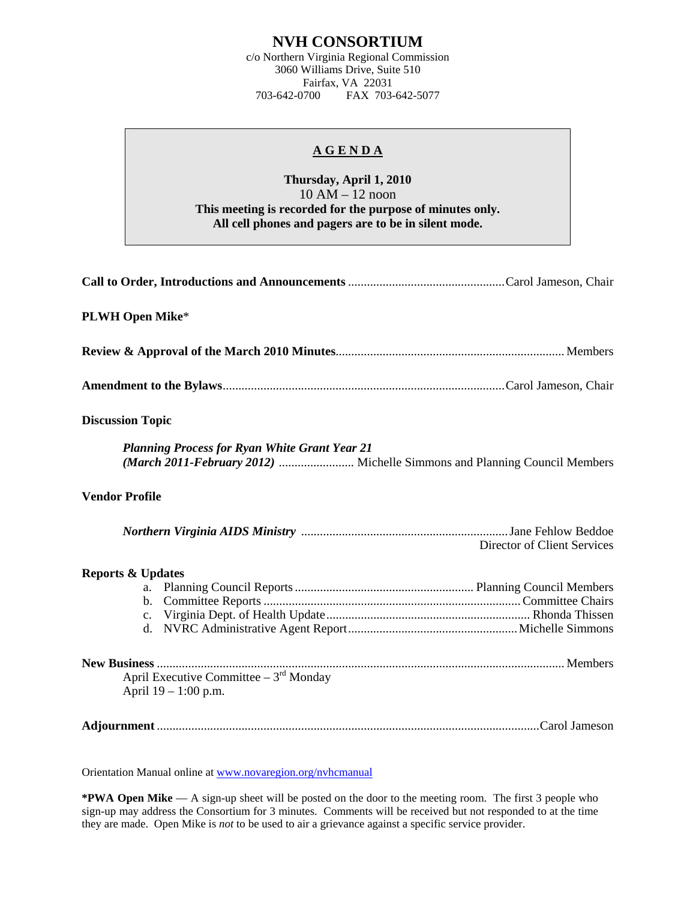## **NVH CONSORTIUM**

c/o Northern Virginia Regional Commission 3060 Williams Drive, Suite 510 Fairfax, VA 22031<br>703-642-0700 FAX 703 FAX 703-642-5077

## **A G E N D A**

## **Thursday, April 1, 2010**  10 AM – 12 noon **This meeting is recorded for the purpose of minutes only. All cell phones and pagers are to be in silent mode.**

| <b>PLWH Open Mike*</b>                                                                                                            |                             |  |  |
|-----------------------------------------------------------------------------------------------------------------------------------|-----------------------------|--|--|
|                                                                                                                                   |                             |  |  |
|                                                                                                                                   |                             |  |  |
| <b>Discussion Topic</b>                                                                                                           |                             |  |  |
| <b>Planning Process for Ryan White Grant Year 21</b><br>(March 2011-February 2012)  Michelle Simmons and Planning Council Members |                             |  |  |
| <b>Vendor Profile</b>                                                                                                             |                             |  |  |
|                                                                                                                                   | Director of Client Services |  |  |
| <b>Reports &amp; Updates</b><br>d.                                                                                                |                             |  |  |
| April Executive Committee $-3^{rd}$ Monday<br>April $19 - 1:00$ p.m.                                                              |                             |  |  |
|                                                                                                                                   |                             |  |  |

Orientation Manual online at [www.novaregion.org/nvhcmanual](http://www.novaregion.org/nvhcmanual)

**\*PWA Open Mike** — A sign-up sheet will be posted on the door to the meeting room. The first 3 people who sign-up may address the Consortium for 3 minutes. Comments will be received but not responded to at the time they are made. Open Mike is *not* to be used to air a grievance against a specific service provider.